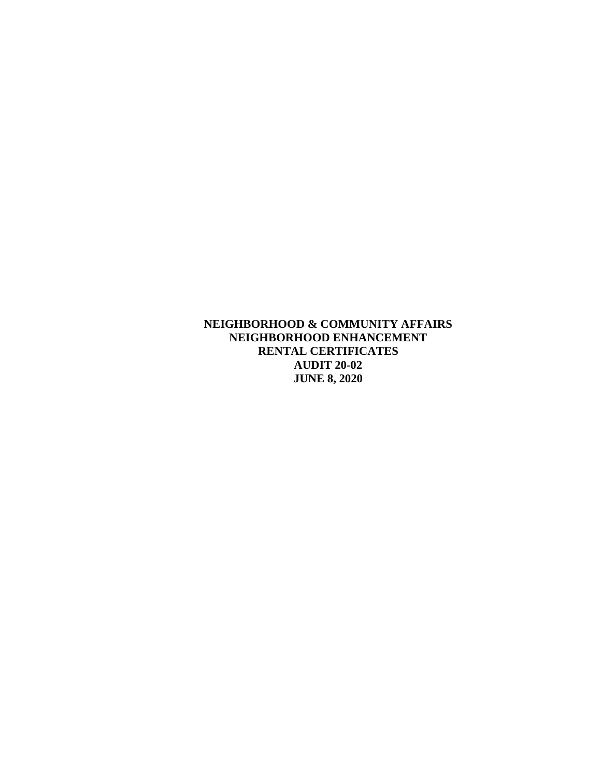**NEIGHBORHOOD & COMMUNITY AFFAIRS NEIGHBORHOOD ENHANCEMENT RENTAL CERTIFICATES AUDIT 20-02 JUNE 8, 2020**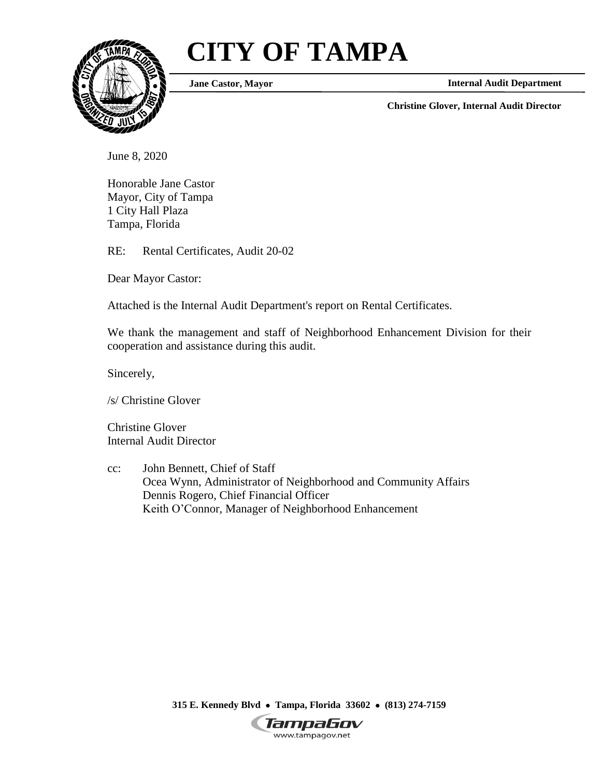# **CITY OF TAMPA**



**Jane Castor, Mayor**

**Internal Audit Department**

**Christine Glover, Internal Audit Director**

June 8, 2020

Honorable Jane Castor Mayor, City of Tampa 1 City Hall Plaza Tampa, Florida

RE: Rental Certificates, Audit 20-02

Dear Mayor Castor:

Attached is the Internal Audit Department's report on Rental Certificates.

We thank the management and staff of Neighborhood Enhancement Division for their cooperation and assistance during this audit.

Sincerely,

/s/ Christine Glover

Christine Glover Internal Audit Director

cc: John Bennett, Chief of Staff Ocea Wynn, Administrator of Neighborhood and Community Affairs Dennis Rogero, Chief Financial Officer Keith O'Connor, Manager of Neighborhood Enhancement

**315 E. Kennedy Blvd Tampa, Florida 33602 (813) 274-7159**

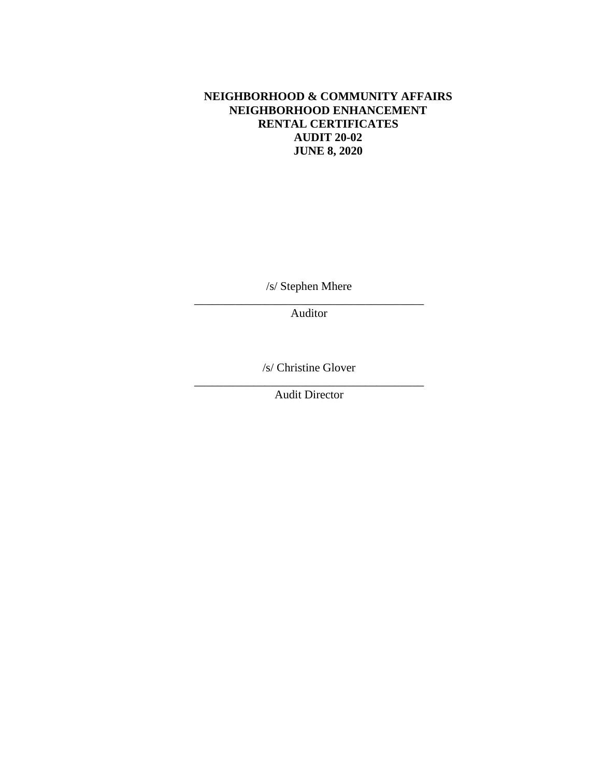#### **NEIGHBORHOOD & COMMUNITY AFFAIRS NEIGHBORHOOD ENHANCEMENT RENTAL CERTIFICATES AUDIT 20-02 JUNE 8, 2020**

/s/ Stephen Mhere \_\_\_\_\_\_\_\_\_\_\_\_\_\_\_\_\_\_\_\_\_\_\_\_\_\_\_\_\_\_\_\_\_\_\_\_\_\_\_

Auditor

/s/ Christine Glover

\_\_\_\_\_\_\_\_\_\_\_\_\_\_\_\_\_\_\_\_\_\_\_\_\_\_\_\_\_\_\_\_\_\_\_\_\_\_\_ Audit Director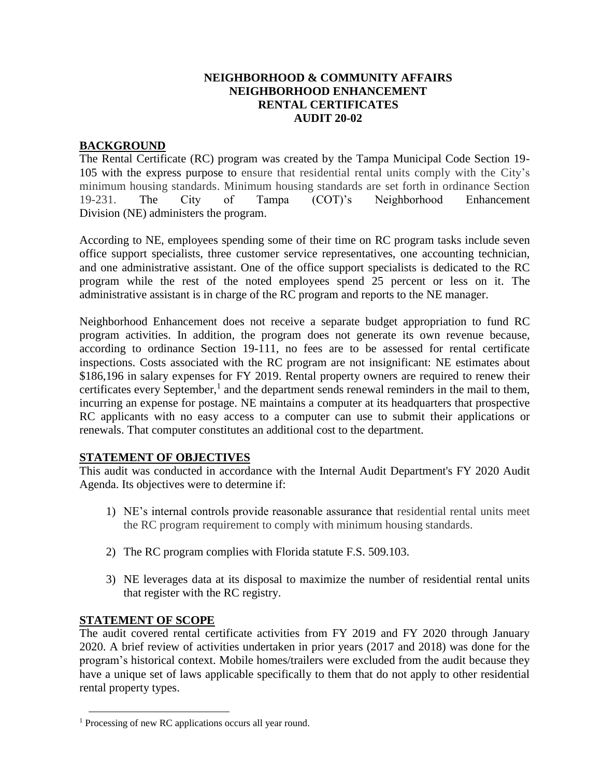#### **NEIGHBORHOOD & COMMUNITY AFFAIRS NEIGHBORHOOD ENHANCEMENT RENTAL CERTIFICATES AUDIT 20-02**

# **BACKGROUND**

The Rental Certificate (RC) program was created by the Tampa Municipal Code Section 19- 105 with the express purpose to ensure that residential rental units comply with the City's minimum housing standards. Minimum housing standards are set forth in ordinance Section 19-231. The City of Tampa (COT)'s Neighborhood Enhancement Division (NE) administers the program.

According to NE, employees spending some of their time on RC program tasks include seven office support specialists, three customer service representatives, one accounting technician, and one administrative assistant. One of the office support specialists is dedicated to the RC program while the rest of the noted employees spend 25 percent or less on it. The administrative assistant is in charge of the RC program and reports to the NE manager.

Neighborhood Enhancement does not receive a separate budget appropriation to fund RC program activities. In addition, the program does not generate its own revenue because, according to ordinance Section 19-111, no fees are to be assessed for rental certificate inspections. Costs associated with the RC program are not insignificant: NE estimates about \$186,196 in salary expenses for FY 2019. Rental property owners are required to renew their certificates every September,<sup>1</sup> and the department sends renewal reminders in the mail to them, incurring an expense for postage. NE maintains a computer at its headquarters that prospective RC applicants with no easy access to a computer can use to submit their applications or renewals. That computer constitutes an additional cost to the department.

# **STATEMENT OF OBJECTIVES**

This audit was conducted in accordance with the Internal Audit Department's FY 2020 Audit Agenda. Its objectives were to determine if:

- 1) NE's internal controls provide reasonable assurance that residential rental units meet the RC program requirement to comply with minimum housing standards.
- 2) The RC program complies with Florida statute F.S. 509.103.
- 3) NE leverages data at its disposal to maximize the number of residential rental units that register with the RC registry.

# **STATEMENT OF SCOPE**

 $\overline{a}$ 

The audit covered rental certificate activities from FY 2019 and FY 2020 through January 2020. A brief review of activities undertaken in prior years (2017 and 2018) was done for the program's historical context. Mobile homes/trailers were excluded from the audit because they have a unique set of laws applicable specifically to them that do not apply to other residential rental property types.

<sup>&</sup>lt;sup>1</sup> Processing of new RC applications occurs all year round.